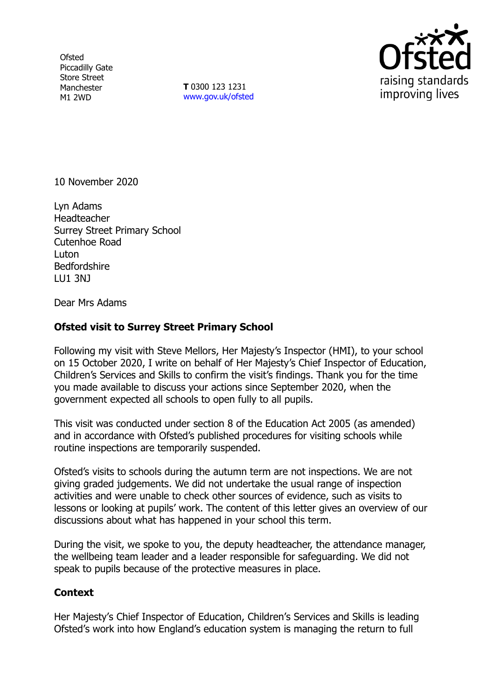**Ofsted** Piccadilly Gate Store Street Manchester M1 2WD

**T** 0300 123 1231 [www.gov.uk/ofsted](http://www.gov.uk/ofsted)



10 November 2020

Lyn Adams Headteacher Surrey Street Primary School Cutenhoe Road Luton Bedfordshire LU1 3NJ

Dear Mrs Adams

## **Ofsted visit to Surrey Street Primary School**

Following my visit with Steve Mellors, Her Majesty's Inspector (HMI), to your school on 15 October 2020, I write on behalf of Her Majesty's Chief Inspector of Education, Children's Services and Skills to confirm the visit's findings. Thank you for the time you made available to discuss your actions since September 2020, when the government expected all schools to open fully to all pupils.

This visit was conducted under section 8 of the Education Act 2005 (as amended) and in accordance with Ofsted's published procedures for visiting schools while routine inspections are temporarily suspended.

Ofsted's visits to schools during the autumn term are not inspections. We are not giving graded judgements. We did not undertake the usual range of inspection activities and were unable to check other sources of evidence, such as visits to lessons or looking at pupils' work. The content of this letter gives an overview of our discussions about what has happened in your school this term.

During the visit, we spoke to you, the deputy headteacher, the attendance manager, the wellbeing team leader and a leader responsible for safeguarding. We did not speak to pupils because of the protective measures in place.

## **Context**

Her Majesty's Chief Inspector of Education, Children's Services and Skills is leading Ofsted's work into how England's education system is managing the return to full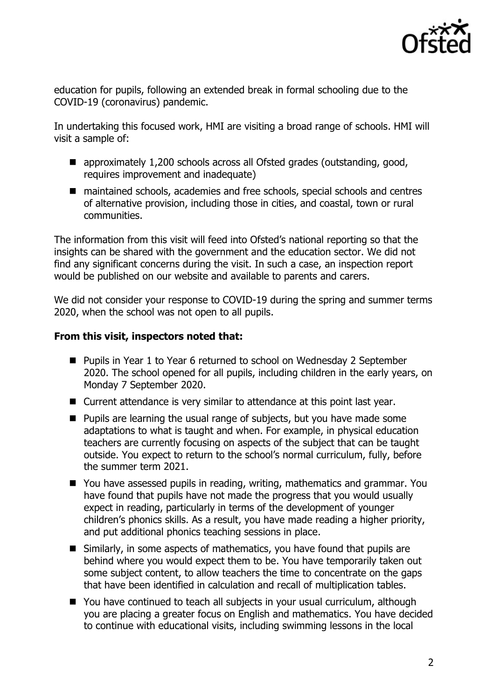

education for pupils, following an extended break in formal schooling due to the COVID-19 (coronavirus) pandemic.

In undertaking this focused work, HMI are visiting a broad range of schools. HMI will visit a sample of:

- approximately 1,200 schools across all Ofsted grades (outstanding, good, requires improvement and inadequate)
- maintained schools, academies and free schools, special schools and centres of alternative provision, including those in cities, and coastal, town or rural communities.

The information from this visit will feed into Ofsted's national reporting so that the insights can be shared with the government and the education sector. We did not find any significant concerns during the visit. In such a case, an inspection report would be published on our website and available to parents and carers.

We did not consider your response to COVID-19 during the spring and summer terms 2020, when the school was not open to all pupils.

## **From this visit, inspectors noted that:**

- Pupils in Year 1 to Year 6 returned to school on Wednesday 2 September 2020. The school opened for all pupils, including children in the early years, on Monday 7 September 2020.
- Current attendance is very similar to attendance at this point last year.
- $\blacksquare$  Pupils are learning the usual range of subjects, but you have made some adaptations to what is taught and when. For example, in physical education teachers are currently focusing on aspects of the subject that can be taught outside. You expect to return to the school's normal curriculum, fully, before the summer term 2021.
- You have assessed pupils in reading, writing, mathematics and grammar. You have found that pupils have not made the progress that you would usually expect in reading, particularly in terms of the development of younger children's phonics skills. As a result, you have made reading a higher priority, and put additional phonics teaching sessions in place.
- Similarly, in some aspects of mathematics, you have found that pupils are behind where you would expect them to be. You have temporarily taken out some subject content, to allow teachers the time to concentrate on the gaps that have been identified in calculation and recall of multiplication tables.
- You have continued to teach all subjects in your usual curriculum, although you are placing a greater focus on English and mathematics. You have decided to continue with educational visits, including swimming lessons in the local